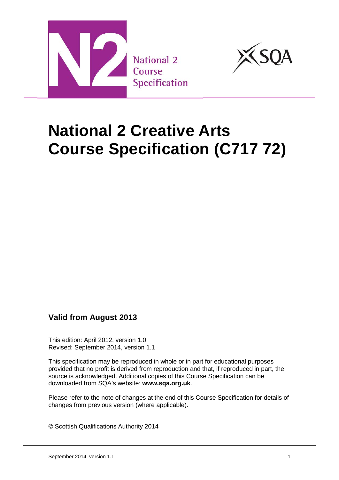



# **National 2 Creative Arts Course Specification (C717 72)**

### **Valid from August 2013**

This edition: April 2012, version 1.0 Revised: September 2014, version 1.1

This specification may be reproduced in whole or in part for educational purposes provided that no profit is derived from reproduction and that, if reproduced in part, the source is acknowledged. Additional copies of this Course Specification can be downloaded from SQA's website: **[www.sqa.org.uk](http://www.sqa.org.uk/)**.

Please refer to the note of changes at the end of this Course Specification for details of changes from previous version (where applicable).

© Scottish Qualifications Authority 2014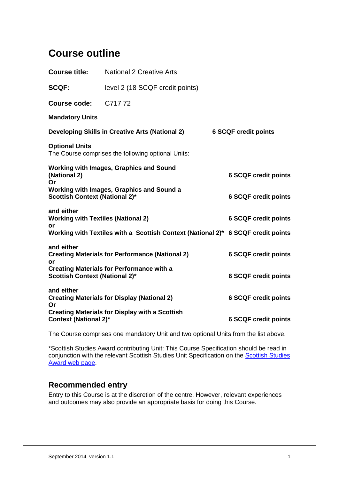## **Course outline**

| <b>Course title:</b>                                                               | <b>National 2 Creative Arts</b>                                                  |                             |
|------------------------------------------------------------------------------------|----------------------------------------------------------------------------------|-----------------------------|
| <b>SCQF:</b>                                                                       | level 2 (18 SCQF credit points)                                                  |                             |
| Course code: C717 72                                                               |                                                                                  |                             |
| <b>Mandatory Units</b>                                                             |                                                                                  |                             |
| Developing Skills in Creative Arts (National 2)                                    |                                                                                  | <b>6 SCQF credit points</b> |
| <b>Optional Units</b>                                                              | The Course comprises the following optional Units:                               |                             |
| <b>Working with Images, Graphics and Sound</b><br>(National 2)<br>Or               |                                                                                  | <b>6 SCQF credit points</b> |
| Working with Images, Graphics and Sound a<br><b>Scottish Context (National 2)*</b> |                                                                                  | <b>6 SCQF credit points</b> |
| and either<br><b>Working with Textiles (National 2)</b><br>or                      |                                                                                  | <b>6 SCQF credit points</b> |
|                                                                                    | Working with Textiles with a Scottish Context (National 2)* 6 SCQF credit points |                             |
| and either<br><b>Creating Materials for Performance (National 2)</b><br>or         |                                                                                  | <b>6 SCQF credit points</b> |
| <b>Scottish Context (National 2)*</b>                                              | <b>Creating Materials for Performance with a</b>                                 | <b>6 SCQF credit points</b> |
| and either<br><b>Creating Materials for Display (National 2)</b><br>Or             |                                                                                  | <b>6 SCQF credit points</b> |
| <b>Context (National 2)*</b>                                                       | <b>Creating Materials for Display with a Scottish</b>                            | <b>6 SCQF credit points</b> |

The Course comprises one mandatory Unit and two optional Units from the list above.

\*Scottish Studies Award contributing Unit: This Course Specification should be read in conjunction with the relevant [Scottish Studies](http://www.sqa.org.uk/sqa/64329.html) Unit Specification on the **Scottish Studies** [Award web page.](http://www.sqa.org.uk/sqa/64329.html)

### **Recommended entry**

Entry to this Course is at the discretion of the centre. However, relevant experiences and outcomes may also provide an appropriate basis for doing this Course.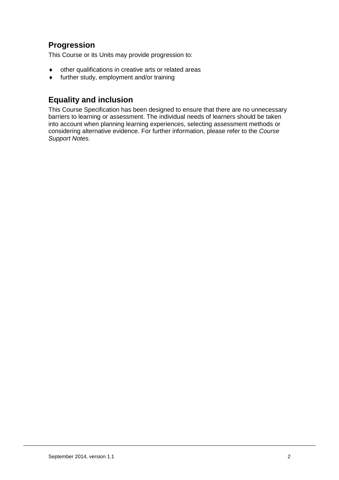## **Progression**

This Course or its Units may provide progression to:

- ♦ other qualifications in creative arts or related areas
- ♦ further study, employment and/or training

## **Equality and inclusion**

This Course Specification has been designed to ensure that there are no unnecessary barriers to learning or assessment. The individual needs of learners should be taken into account when planning learning experiences, selecting assessment methods or considering alternative evidence. For further information, please refer to the *Course Support Notes.*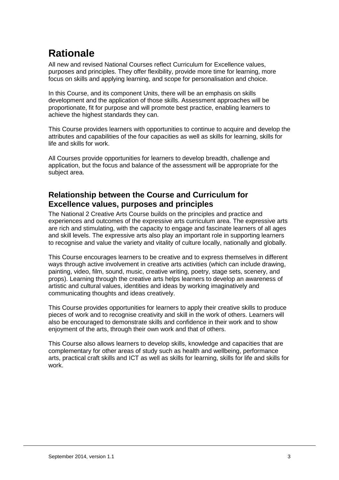## **Rationale**

All new and revised National Courses reflect Curriculum for Excellence values, purposes and principles. They offer flexibility, provide more time for learning, more focus on skills and applying learning, and scope for personalisation and choice.

In this Course, and its component Units, there will be an emphasis on skills development and the application of those skills. Assessment approaches will be proportionate, fit for purpose and will promote best practice, enabling learners to achieve the highest standards they can.

This Course provides learners with opportunities to continue to acquire and develop the attributes and capabilities of the four capacities as well as skills for learning, skills for life and skills for work.

All Courses provide opportunities for learners to develop breadth, challenge and application, but the focus and balance of the assessment will be appropriate for the subject area.

## **Relationship between the Course and Curriculum for Excellence values, purposes and principles**

The National 2 Creative Arts Course builds on the principles and practice and experiences and outcomes of the expressive arts curriculum area. The expressive arts are rich and stimulating, with the capacity to engage and fascinate learners of all ages and skill levels. The expressive arts also play an important role in supporting learners to recognise and value the variety and vitality of culture locally, nationally and globally.

This Course encourages learners to be creative and to express themselves in different ways through active involvement in creative arts activities (which can include drawing, painting, video, film, sound, music, creative writing, poetry, stage sets, scenery, and props). Learning through the creative arts helps learners to develop an awareness of artistic and cultural values, identities and ideas by working imaginatively and communicating thoughts and ideas creatively.

This Course provides opportunities for learners to apply their creative skills to produce pieces of work and to recognise creativity and skill in the work of others. Learners will also be encouraged to demonstrate skills and confidence in their work and to show enjoyment of the arts, through their own work and that of others.

This Course also allows learners to develop skills, knowledge and capacities that are complementary for other areas of study such as health and wellbeing, performance arts, practical craft skills and ICT as well as skills for learning, skills for life and skills for work.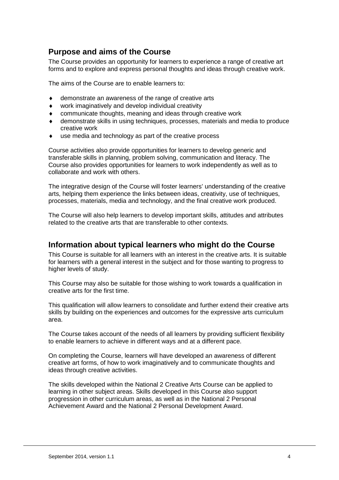### **Purpose and aims of the Course**

The Course provides an opportunity for learners to experience a range of creative art forms and to explore and express personal thoughts and ideas through creative work.

The aims of the Course are to enable learners to:

- demonstrate an awareness of the range of creative arts
- ♦ work imaginatively and develop individual creativity
- communicate thoughts, meaning and ideas through creative work
- ♦ demonstrate skills in using techniques, processes, materials and media to produce creative work
- use media and technology as part of the creative process

Course activities also provide opportunities for learners to develop generic and transferable skills in planning, problem solving, communication and literacy. The Course also provides opportunities for learners to work independently as well as to collaborate and work with others.

The integrative design of the Course will foster learners' understanding of the creative arts, helping them experience the links between ideas, creativity, use of techniques, processes, materials, media and technology, and the final creative work produced.

The Course will also help learners to develop important skills, attitudes and attributes related to the creative arts that are transferable to other contexts.

### **Information about typical learners who might do the Course**

This Course is suitable for all learners with an interest in the creative arts. It is suitable for learners with a general interest in the subject and for those wanting to progress to higher levels of study.

This Course may also be suitable for those wishing to work towards a qualification in creative arts for the first time.

This qualification will allow learners to consolidate and further extend their creative arts skills by building on the experiences and outcomes for the expressive arts curriculum area.

The Course takes account of the needs of all learners by providing sufficient flexibility to enable learners to achieve in different ways and at a different pace.

On completing the Course, learners will have developed an awareness of different creative art forms, of how to work imaginatively and to communicate thoughts and ideas through creative activities.

The skills developed within the National 2 Creative Arts Course can be applied to learning in other subject areas. Skills developed in this Course also support progression in other curriculum areas, as well as in the National 2 Personal Achievement Award and the National 2 Personal Development Award.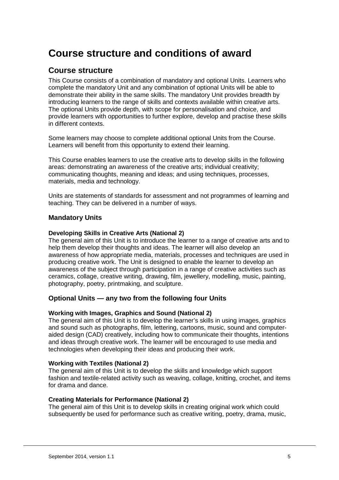## **Course structure and conditions of award**

#### **Course structure**

This Course consists of a combination of mandatory and optional Units. Learners who complete the mandatory Unit and any combination of optional Units will be able to demonstrate their ability in the same skills. The mandatory Unit provides breadth by introducing learners to the range of skills and contexts available within creative arts. The optional Units provide depth, with scope for personalisation and choice, and provide learners with opportunities to further explore, develop and practise these skills in different contexts.

Some learners may choose to complete additional optional Units from the Course. Learners will benefit from this opportunity to extend their learning.

This Course enables learners to use the creative arts to develop skills in the following areas: demonstrating an awareness of the creative arts; individual creativity; communicating thoughts, meaning and ideas; and using techniques, processes, materials, media and technology.

Units are statements of standards for assessment and not programmes of learning and teaching. They can be delivered in a number of ways.

#### **Mandatory Units**

#### **Developing Skills in Creative Arts (National 2)**

The general aim of this Unit is to introduce the learner to a range of creative arts and to help them develop their thoughts and ideas. The learner will also develop an awareness of how appropriate media, materials, processes and techniques are used in producing creative work. The Unit is designed to enable the learner to develop an awareness of the subject through participation in a range of creative activities such as ceramics, collage, creative writing, drawing, film, jewellery, modelling, music, painting, photography, poetry, printmaking, and sculpture.

#### **Optional Units — any two from the following four Units**

#### **Working with Images, Graphics and Sound (National 2)**

The general aim of this Unit is to develop the learner's skills in using images, graphics and sound such as photographs, film, lettering, cartoons, music, sound and computeraided design (CAD) creatively, including how to communicate their thoughts, intentions and ideas through creative work. The learner will be encouraged to use media and technologies when developing their ideas and producing their work.

#### **Working with Textiles (National 2)**

The general aim of this Unit is to develop the skills and knowledge which support fashion and textile-related activity such as weaving, collage, knitting, crochet, and items for drama and dance.

#### **Creating Materials for Performance (National 2)**

The general aim of this Unit is to develop skills in creating original work which could subsequently be used for performance such as creative writing, poetry, drama, music,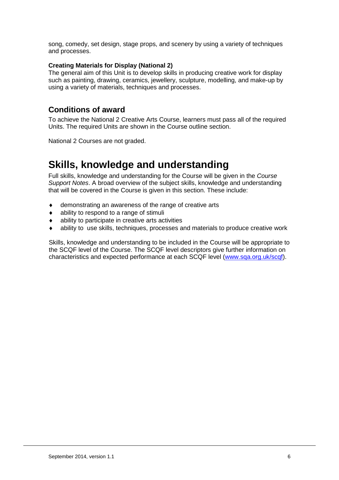song, comedy, set design, stage props, and scenery by using a variety of techniques and processes.

#### **Creating Materials for Display (National 2)**

The general aim of this Unit is to develop skills in producing creative work for display such as painting, drawing, ceramics, jewellery, sculpture, modelling, and make-up by using a variety of materials, techniques and processes.

### **Conditions of award**

To achieve the National 2 Creative Arts Course, learners must pass all of the required Units. The required Units are shown in the Course outline section.

National 2 Courses are not graded.

## **Skills, knowledge and understanding**

Full skills, knowledge and understanding for the Course will be given in the *Course Support Notes*. A broad overview of the subject skills, knowledge and understanding that will be covered in the Course is given in this section. These include:

- ♦ demonstrating an awareness of the range of creative arts
- ♦ ability to respond to a range of stimuli
- ♦ ability to participate in creative arts activities
- ability to use skills, techniques, processes and materials to produce creative work

Skills, knowledge and understanding to be included in the Course will be appropriate to the SCQF level of the Course. The SCQF level descriptors give further information on characteristics and expected performance at each SCQF level [\(www.sqa.org.uk/scqf\)](http://www.sqa.org.uk/sqa/4595.html).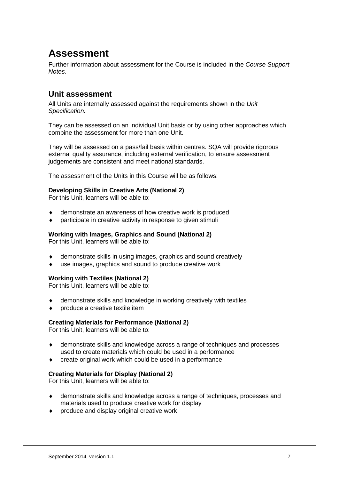## **Assessment**

Further information about assessment for the Course is included in the *Course Support Notes.*

### **Unit assessment**

All Units are internally assessed against the requirements shown in the *Unit Specification.*

They can be assessed on an individual Unit basis or by using other approaches which combine the assessment for more than one Unit.

They will be assessed on a pass/fail basis within centres. SQA will provide rigorous external quality assurance, including external verification, to ensure assessment judgements are consistent and meet national standards.

The assessment of the Units in this Course will be as follows:

#### **Developing Skills in Creative Arts (National 2)**

For this Unit, learners will be able to:

- demonstrate an awareness of how creative work is produced
- participate in creative activity in response to given stimuli

#### **Working with Images, Graphics and Sound (National 2)**

For this Unit, learners will be able to:

- ♦ demonstrate skills in using images, graphics and sound creatively
- use images, graphics and sound to produce creative work

#### **Working with Textiles (National 2)**

For this Unit, learners will be able to:

- ♦ demonstrate skills and knowledge in working creatively with textiles
- produce a creative textile item

#### **Creating Materials for Performance (National 2)**

For this Unit, learners will be able to:

- demonstrate skills and knowledge across a range of techniques and processes used to create materials which could be used in a performance
- create original work which could be used in a performance

#### **Creating Materials for Display (National 2)**

For this Unit, learners will be able to:

- ♦ demonstrate skills and knowledge across a range of techniques, processes and materials used to produce creative work for display
- produce and display original creative work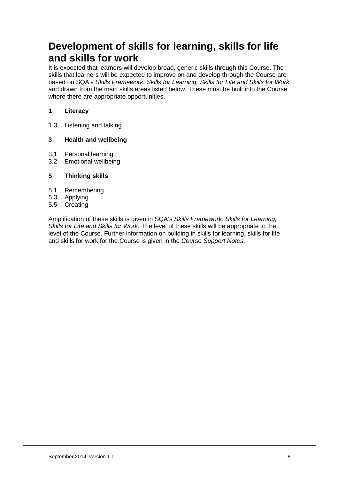## **Development of skills for learning, skills for life and skills for work**

It is expected that learners will develop broad, generic skills through this Course. The skills that learners will be expected to improve on and develop through the Course are based on SQA's *Skills Framework: Skills for Learning, Skills for Life and Skills for Work*  and drawn from the main skills areas listed below. These must be built into the Course where there are appropriate opportunities.

#### **1 Literacy**

1.3 Listening and talking

#### **3 Health and wellbeing**

- 3.1 Personal learning
- 3.2 Emotional wellbeing

#### **5 Thinking skills**

- 5.1 Remembering
- 5.3 Applying
- 5.5 Creating

Amplification of these skills is given in SQA's *Skills Framework: Skills for Learning, Skills for Life and Skills for Work*. The level of these skills will be appropriate to the level of the Course. Further information on building in skills for learning, skills for life and skills for work for the Course is given in the *Course Support Notes*.